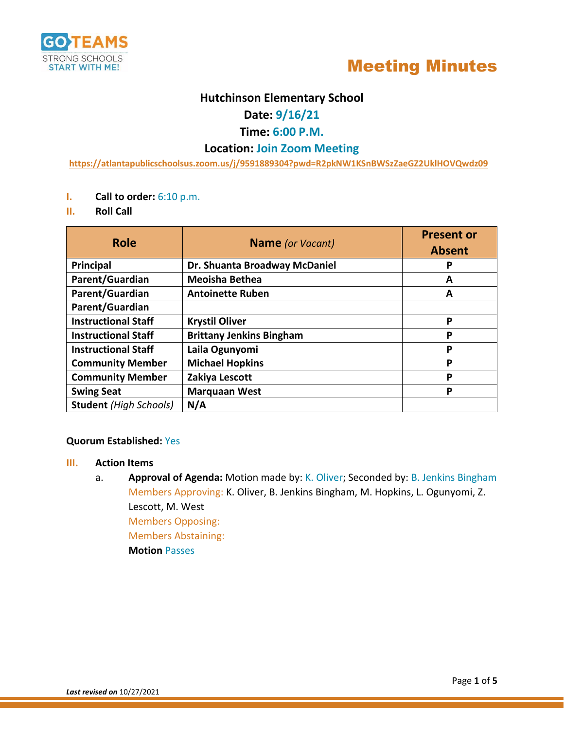



## **Hutchinson Elementary School**

## **Date: 9/16/21**

## **Time: 6:00 P.M.**

## **Location: Join Zoom Meeting**

**<https://atlantapublicschoolsus.zoom.us/j/9591889304?pwd=R2pkNW1KSnBWSzZaeGZ2UklHOVQwdz09>**

- **I. Call to order:** 6:10 p.m.
- **II. Roll Call**

| <b>Role</b>                   | <b>Name</b> (or Vacant)         | <b>Present or</b><br><b>Absent</b> |
|-------------------------------|---------------------------------|------------------------------------|
| <b>Principal</b>              | Dr. Shuanta Broadway McDaniel   | P                                  |
| Parent/Guardian               | <b>Meoisha Bethea</b>           | А                                  |
| Parent/Guardian               | <b>Antoinette Ruben</b>         | А                                  |
| Parent/Guardian               |                                 |                                    |
| <b>Instructional Staff</b>    | <b>Krystil Oliver</b>           | P                                  |
| <b>Instructional Staff</b>    | <b>Brittany Jenkins Bingham</b> | P                                  |
| <b>Instructional Staff</b>    | Laila Ogunyomi                  | P                                  |
| <b>Community Member</b>       | <b>Michael Hopkins</b>          | P                                  |
| <b>Community Member</b>       | Zakiya Lescott                  | P                                  |
| <b>Swing Seat</b>             | <b>Marquaan West</b>            | P                                  |
| <b>Student</b> (High Schools) | N/A                             |                                    |

### **Quorum Established:** Yes

#### **III. Action Items**

a. **Approval of Agenda:** Motion made by: K. Oliver; Seconded by: B. Jenkins Bingham Members Approving: K. Oliver, B. Jenkins Bingham, M. Hopkins, L. Ogunyomi, Z. Lescott, M. West Members Opposing: Members Abstaining: **Motion** Passes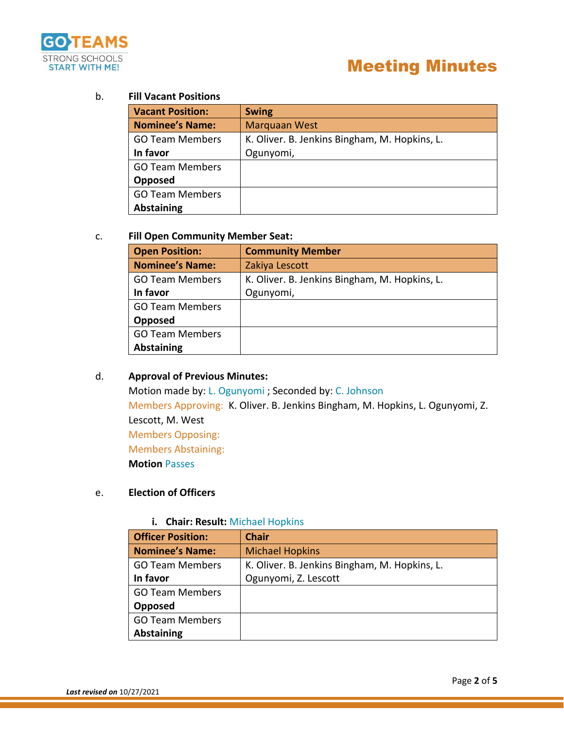

### b. **Fill Vacant Positions**

| <b>Vacant Position:</b> | <b>Swing</b>                                  |  |
|-------------------------|-----------------------------------------------|--|
| <b>Nominee's Name:</b>  | <b>Marquaan West</b>                          |  |
| <b>GO Team Members</b>  | K. Oliver. B. Jenkins Bingham, M. Hopkins, L. |  |
| In favor                | Ogunyomi,                                     |  |
| <b>GO Team Members</b>  |                                               |  |
| Opposed                 |                                               |  |
| <b>GO Team Members</b>  |                                               |  |
| <b>Abstaining</b>       |                                               |  |

#### c. **Fill Open Community Member Seat:**

| <b>Open Position:</b>  | <b>Community Member</b>                       |  |
|------------------------|-----------------------------------------------|--|
| <b>Nominee's Name:</b> | Zakiya Lescott                                |  |
| <b>GO Team Members</b> | K. Oliver. B. Jenkins Bingham, M. Hopkins, L. |  |
| In favor               | Ogunyomi,                                     |  |
| <b>GO Team Members</b> |                                               |  |
| Opposed                |                                               |  |
| <b>GO Team Members</b> |                                               |  |
| <b>Abstaining</b>      |                                               |  |

### d. **Approval of Previous Minutes:**

Motion made by: L. Ogunyomi ; Seconded by: C. Johnson Members Approving: K. Oliver. B. Jenkins Bingham, M. Hopkins, L. Ogunyomi, Z. Lescott, M. West Members Opposing: Members Abstaining: **Motion** Passes

## e. **Election of Officers**

#### **i. Chair: Result:** Michael Hopkins

| <b>Officer Position:</b> | <b>Chair</b>                                  |  |
|--------------------------|-----------------------------------------------|--|
| <b>Nominee's Name:</b>   | <b>Michael Hopkins</b>                        |  |
| <b>GO Team Members</b>   | K. Oliver. B. Jenkins Bingham, M. Hopkins, L. |  |
| In favor                 | Ogunyomi, Z. Lescott                          |  |
| <b>GO Team Members</b>   |                                               |  |
| Opposed                  |                                               |  |
| <b>GO Team Members</b>   |                                               |  |
| <b>Abstaining</b>        |                                               |  |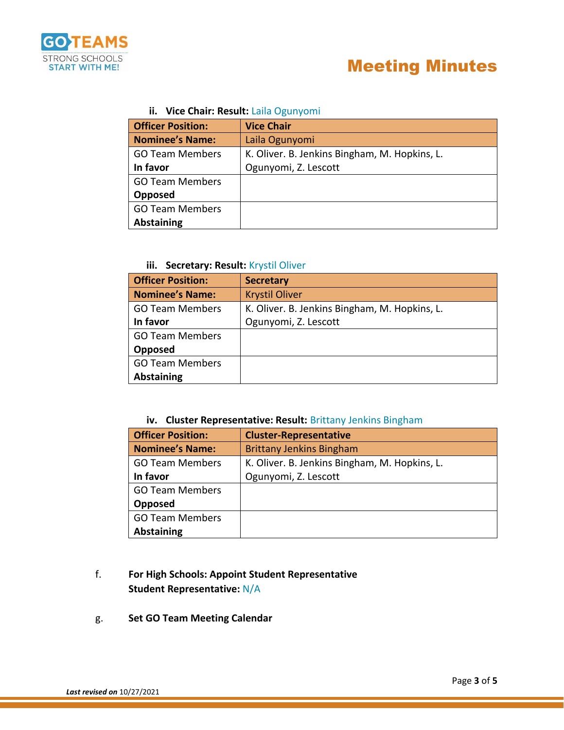

## **ii. Vice Chair: Result:** Laila Ogunyomi

| <b>Officer Position:</b> | <b>Vice Chair</b>                             |  |
|--------------------------|-----------------------------------------------|--|
| <b>Nominee's Name:</b>   | Laila Ogunyomi                                |  |
| <b>GO Team Members</b>   | K. Oliver. B. Jenkins Bingham, M. Hopkins, L. |  |
| In favor                 | Ogunyomi, Z. Lescott                          |  |
| <b>GO Team Members</b>   |                                               |  |
| Opposed                  |                                               |  |
| <b>GO Team Members</b>   |                                               |  |
| <b>Abstaining</b>        |                                               |  |

## **iii. Secretary: Result:** Krystil Oliver

| <b>Officer Position:</b> | <b>Secretary</b>                              |
|--------------------------|-----------------------------------------------|
| <b>Nominee's Name:</b>   | <b>Krystil Oliver</b>                         |
| <b>GO Team Members</b>   | K. Oliver. B. Jenkins Bingham, M. Hopkins, L. |
| In favor                 | Ogunyomi, Z. Lescott                          |
| <b>GO Team Members</b>   |                                               |
| Opposed                  |                                               |
| <b>GO Team Members</b>   |                                               |
| <b>Abstaining</b>        |                                               |

## **iv. Cluster Representative: Result:** Brittany Jenkins Bingham

| <b>Officer Position:</b> | <b>Cluster-Representative</b>                 |  |
|--------------------------|-----------------------------------------------|--|
| <b>Nominee's Name:</b>   | <b>Brittany Jenkins Bingham</b>               |  |
| <b>GO Team Members</b>   | K. Oliver. B. Jenkins Bingham, M. Hopkins, L. |  |
| In favor                 | Ogunyomi, Z. Lescott                          |  |
| <b>GO Team Members</b>   |                                               |  |
| Opposed                  |                                               |  |
| <b>GO Team Members</b>   |                                               |  |
| <b>Abstaining</b>        |                                               |  |

## f. **For High Schools: Appoint Student Representative Student Representative:** N/A

g. **Set GO Team Meeting Calendar**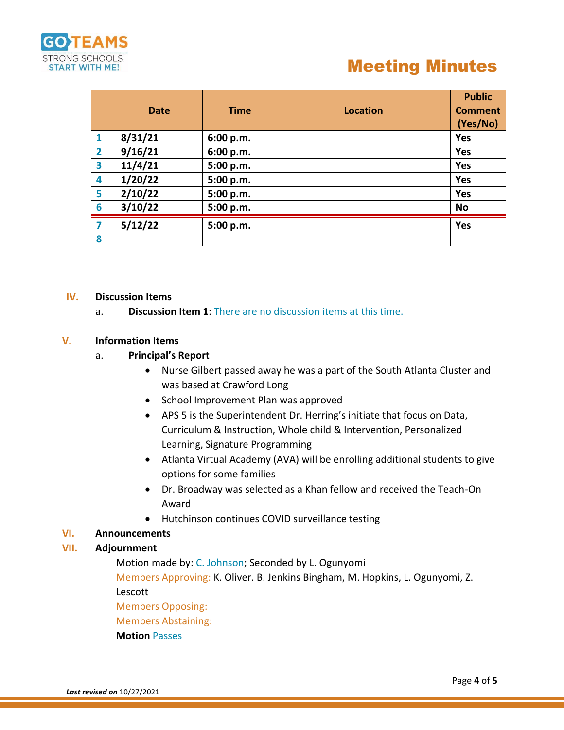

# Meeting Minutes

|                | <b>Date</b> | <b>Time</b> | <b>Location</b> | <b>Public</b><br><b>Comment</b><br>(Yes/No) |
|----------------|-------------|-------------|-----------------|---------------------------------------------|
| 1              | 8/31/21     | 6:00 p.m.   |                 | Yes                                         |
| $\overline{2}$ | 9/16/21     | 6:00 p.m.   |                 | Yes                                         |
| 3              | 11/4/21     | 5:00 p.m.   |                 | Yes                                         |
| 4              | 1/20/22     | 5:00 p.m.   |                 | <b>Yes</b>                                  |
| 5              | 2/10/22     | 5:00 p.m.   |                 | Yes                                         |
| 6              | 3/10/22     | 5:00 p.m.   |                 | <b>No</b>                                   |
| 7              | 5/12/22     | 5:00 p.m.   |                 | Yes                                         |
| 8              |             |             |                 |                                             |

#### **IV. Discussion Items**

a. **Discussion Item 1**: There are no discussion items at this time.

## **V. Information Items**

### a. **Principal's Report**

- Nurse Gilbert passed away he was a part of the South Atlanta Cluster and was based at Crawford Long
- School Improvement Plan was approved
- APS 5 is the Superintendent Dr. Herring's initiate that focus on Data, Curriculum & Instruction, Whole child & Intervention, Personalized Learning, Signature Programming
- Atlanta Virtual Academy (AVA) will be enrolling additional students to give options for some families
- Dr. Broadway was selected as a Khan fellow and received the Teach-On Award
- Hutchinson continues COVID surveillance testing

## **VI. Announcements**

#### **VII. Adjournment**

Motion made by: C. Johnson; Seconded by L. Ogunyomi

Members Approving: K. Oliver. B. Jenkins Bingham, M. Hopkins, L. Ogunyomi, Z. Lescott

Members Opposing:

Members Abstaining:

**Motion** Passes